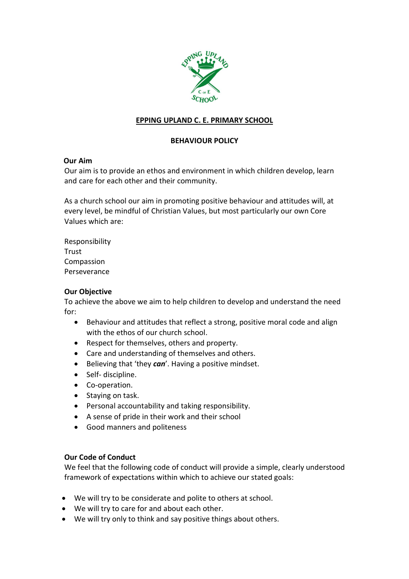

# EPPING UPLAND C. E. PRIMARY SCHOOL

## BEHAVIOUR POLICY

### Our Aim

Our aim is to provide an ethos and environment in which children develop, learn and care for each other and their community.

As a church school our aim in promoting positive behaviour and attitudes will, at every level, be mindful of Christian Values, but most particularly our own Core Values which are:

Responsibility Trust Compassion Perseverance

#### Our Objective

To achieve the above we aim to help children to develop and understand the need for:

- Behaviour and attitudes that reflect a strong, positive moral code and align with the ethos of our church school.
- Respect for themselves, others and property.
- Care and understanding of themselves and others.
- $\bullet$  Believing that 'they can'. Having a positive mindset.
- Self- discipline.
- Co-operation.
- Staving on task.
- Personal accountability and taking responsibility.
- A sense of pride in their work and their school
- Good manners and politeness

#### Our Code of Conduct

We feel that the following code of conduct will provide a simple, clearly understood framework of expectations within which to achieve our stated goals:

- We will try to be considerate and polite to others at school.
- We will try to care for and about each other.
- We will try only to think and say positive things about others.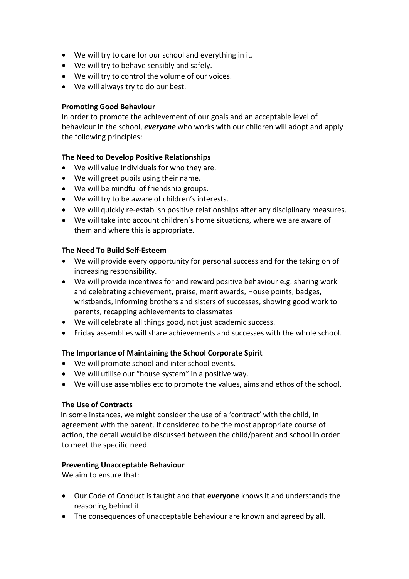- We will try to care for our school and everything in it.
- We will try to behave sensibly and safely.
- We will try to control the volume of our voices.
- We will always try to do our best.

#### Promoting Good Behaviour

In order to promote the achievement of our goals and an acceptable level of behaviour in the school, everyone who works with our children will adopt and apply the following principles:

### The Need to Develop Positive Relationships

- We will value individuals for who they are.
- We will greet pupils using their name.
- We will be mindful of friendship groups.
- We will try to be aware of children's interests.
- We will quickly re-establish positive relationships after any disciplinary measures.
- We will take into account children's home situations, where we are aware of them and where this is appropriate.

### The Need To Build Self-Esteem

- We will provide every opportunity for personal success and for the taking on of increasing responsibility.
- We will provide incentives for and reward positive behaviour e.g. sharing work and celebrating achievement, praise, merit awards, House points, badges, wristbands, informing brothers and sisters of successes, showing good work to parents, recapping achievements to classmates
- We will celebrate all things good, not just academic success.
- Friday assemblies will share achievements and successes with the whole school.

#### The Importance of Maintaining the School Corporate Spirit

- We will promote school and inter school events.
- We will utilise our "house system" in a positive way.
- We will use assemblies etc to promote the values, aims and ethos of the school.

#### The Use of Contracts

 In some instances, we might consider the use of a 'contract' with the child, in agreement with the parent. If considered to be the most appropriate course of action, the detail would be discussed between the child/parent and school in order to meet the specific need.

#### Preventing Unacceptable Behaviour

We aim to ensure that:

- Our Code of Conduct is taught and that everyone knows it and understands the reasoning behind it.
- The consequences of unacceptable behaviour are known and agreed by all.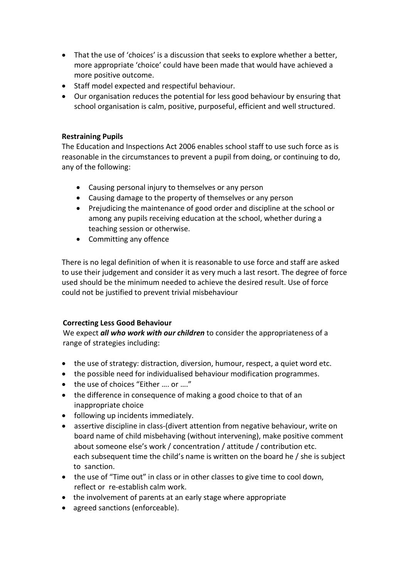- That the use of 'choices' is a discussion that seeks to explore whether a better, more appropriate 'choice' could have been made that would have achieved a more positive outcome.
- Staff model expected and respectiful behaviour.
- Our organisation reduces the potential for less good behaviour by ensuring that school organisation is calm, positive, purposeful, efficient and well structured.

### Restraining Pupils

The Education and Inspections Act 2006 enables school staff to use such force as is reasonable in the circumstances to prevent a pupil from doing, or continuing to do, any of the following:

- Causing personal injury to themselves or any person
- Causing damage to the property of themselves or any person
- Prejudicing the maintenance of good order and discipline at the school or among any pupils receiving education at the school, whether during a teaching session or otherwise.
- Committing any offence

There is no legal definition of when it is reasonable to use force and staff are asked to use their judgement and consider it as very much a last resort. The degree of force used should be the minimum needed to achieve the desired result. Use of force could not be justified to prevent trivial misbehaviour

## Correcting Less Good Behaviour

We expect all who work with our children to consider the appropriateness of a range of strategies including:

- the use of strategy: distraction, diversion, humour, respect, a quiet word etc.
- the possible need for individualised behaviour modification programmes.
- the use of choices "Either .... or ...."
- the difference in consequence of making a good choice to that of an inappropriate choice
- following up incidents immediately.
- assertive discipline in class-(divert attention from negative behaviour, write on board name of child misbehaving (without intervening), make positive comment about someone else's work / concentration / attitude / contribution etc. each subsequent time the child's name is written on the board he / she is subject to sanction.
- the use of "Time out" in class or in other classes to give time to cool down, reflect or re-establish calm work.
- the involvement of parents at an early stage where appropriate
- agreed sanctions (enforceable).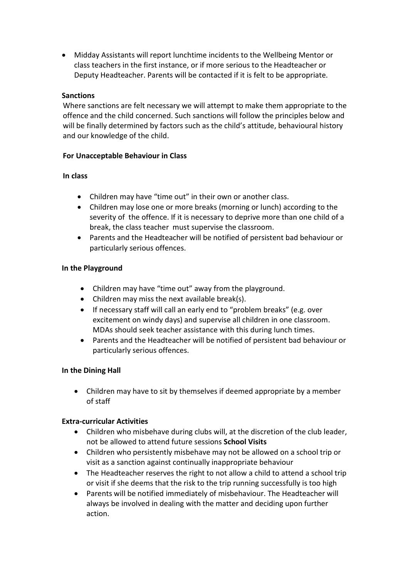Midday Assistants will report lunchtime incidents to the Wellbeing Mentor or class teachers in the first instance, or if more serious to the Headteacher or Deputy Headteacher. Parents will be contacted if it is felt to be appropriate.

### Sanctions

Where sanctions are felt necessary we will attempt to make them appropriate to the offence and the child concerned. Such sanctions will follow the principles below and will be finally determined by factors such as the child's attitude, behavioural history and our knowledge of the child.

### For Unacceptable Behaviour in Class

### In class

- Children may have "time out" in their own or another class.
- Children may lose one or more breaks (morning or lunch) according to the severity of the offence. If it is necessary to deprive more than one child of a break, the class teacher must supervise the classroom.
- Parents and the Headteacher will be notified of persistent bad behaviour or particularly serious offences.

### In the Playground

- Children may have "time out" away from the playground.
- Children may miss the next available break(s).
- If necessary staff will call an early end to "problem breaks" (e.g. over excitement on windy days) and supervise all children in one classroom. MDAs should seek teacher assistance with this during lunch times.
- Parents and the Headteacher will be notified of persistent bad behaviour or particularly serious offences.

## In the Dining Hall

 Children may have to sit by themselves if deemed appropriate by a member of staff

## Extra-curricular Activities

- Children who misbehave during clubs will, at the discretion of the club leader, not be allowed to attend future sessions School Visits
- Children who persistently misbehave may not be allowed on a school trip or visit as a sanction against continually inappropriate behaviour
- The Headteacher reserves the right to not allow a child to attend a school trip or visit if she deems that the risk to the trip running successfully is too high
- Parents will be notified immediately of misbehaviour. The Headteacher will always be involved in dealing with the matter and deciding upon further action.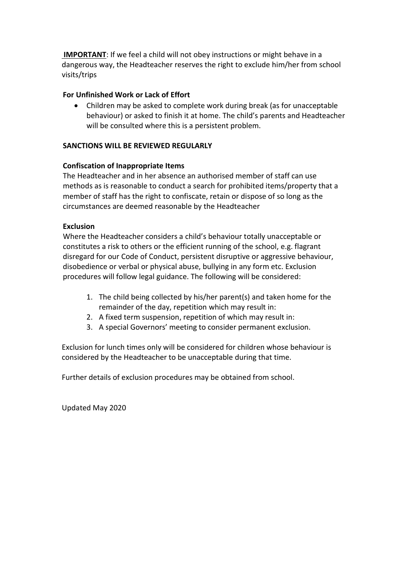IMPORTANT: If we feel a child will not obey instructions or might behave in a dangerous way, the Headteacher reserves the right to exclude him/her from school visits/trips

## For Unfinished Work or Lack of Effort

 Children may be asked to complete work during break (as for unacceptable behaviour) or asked to finish it at home. The child's parents and Headteacher will be consulted where this is a persistent problem.

### SANCTIONS WILL BE REVIEWED REGULARLY

### Confiscation of Inappropriate Items

The Headteacher and in her absence an authorised member of staff can use methods as is reasonable to conduct a search for prohibited items/property that a member of staff has the right to confiscate, retain or dispose of so long as the circumstances are deemed reasonable by the Headteacher

### Exclusion

Where the Headteacher considers a child's behaviour totally unacceptable or constitutes a risk to others or the efficient running of the school, e.g. flagrant disregard for our Code of Conduct, persistent disruptive or aggressive behaviour, disobedience or verbal or physical abuse, bullying in any form etc. Exclusion procedures will follow legal guidance. The following will be considered:

- 1. The child being collected by his/her parent(s) and taken home for the remainder of the day, repetition which may result in:
- 2. A fixed term suspension, repetition of which may result in:
- 3. A special Governors' meeting to consider permanent exclusion.

Exclusion for lunch times only will be considered for children whose behaviour is considered by the Headteacher to be unacceptable during that time.

Further details of exclusion procedures may be obtained from school.

Updated May 2020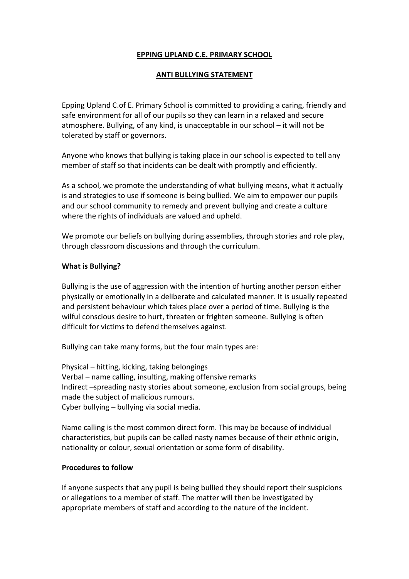# EPPING UPLAND C.E. PRIMARY SCHOOL

## ANTI BULLYING STATEMENT

Epping Upland C.of E. Primary School is committed to providing a caring, friendly and safe environment for all of our pupils so they can learn in a relaxed and secure atmosphere. Bullying, of any kind, is unacceptable in our school – it will not be tolerated by staff or governors.

Anyone who knows that bullying is taking place in our school is expected to tell any member of staff so that incidents can be dealt with promptly and efficiently.

As a school, we promote the understanding of what bullying means, what it actually is and strategies to use if someone is being bullied. We aim to empower our pupils and our school community to remedy and prevent bullying and create a culture where the rights of individuals are valued and upheld.

We promote our beliefs on bullying during assemblies, through stories and role play, through classroom discussions and through the curriculum.

#### What is Bullying?

Bullying is the use of aggression with the intention of hurting another person either physically or emotionally in a deliberate and calculated manner. It is usually repeated and persistent behaviour which takes place over a period of time. Bullying is the wilful conscious desire to hurt, threaten or frighten someone. Bullying is often difficult for victims to defend themselves against.

Bullying can take many forms, but the four main types are:

Physical – hitting, kicking, taking belongings Verbal – name calling, insulting, making offensive remarks Indirect –spreading nasty stories about someone, exclusion from social groups, being made the subject of malicious rumours. Cyber bullying – bullying via social media.

Name calling is the most common direct form. This may be because of individual characteristics, but pupils can be called nasty names because of their ethnic origin, nationality or colour, sexual orientation or some form of disability.

#### Procedures to follow

If anyone suspects that any pupil is being bullied they should report their suspicions or allegations to a member of staff. The matter will then be investigated by appropriate members of staff and according to the nature of the incident.